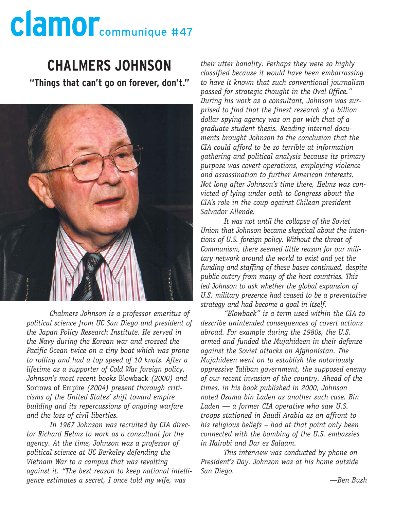#### **CHALMERS JOHNSON**

**"Things that can't go on forever, don't."**



*Chalmers Johnson is a professor emeritus of political science from UC San Diego and president of the Japan Policy Research Institute. He served in the Navy during the Korean war and crossed the Pacific Ocean twice on a tiny boat which was prone to rolling and had a top speed of 10 knots. After a lifetime as a supporter of Cold War foreign policy, Johnson's most recent books* Blowback *(2000) and* Sorrows of Empire *(2004) present thorough criticisms of the United States' shift toward empire building and its repercussions of ongoing warfare and the loss of civil liberties.* 

*In 1967 Johnson was recruited by CIA director Richard Helms to work as a consultant for the agency. At the time, Johnson was a professor of political science at UC Berkeley defending the Vietnam War to a campus that was revolting against it. "The best reason to keep national intelligence estimates a secret, I once told my wife, was*

*their utter banality. Perhaps they were so highly classified because it would have been embarrassing to have it known that such conventional journalism passed for strategic thought in the Oval Office." During his work as a consultant, Johnson was surprised to find that the finest research of a billion dollar spying agency was on par with that of a graduate student thesis. Reading internal documents brought Johnson to the conclusion that the CIA could afford to be so terrible at information gathering and political analysis because its primary purpose was covert operations, employing violence and assassination to further American interests. Not long after Johnson's time there, Helms was convicted of lying under oath to Congress about the CIA's role in the coup against Chilean president Salvador Allende.*

*It was not until the collapse of the Soviet Union that Johnson became skeptical about the intentions of U.S. foreign policy. Without the threat of Communism, there seemed little reason for our military network around the world to exist and yet the funding and staffing of these bases continued, despite public outcry from many of the host countries. This led Johnson to ask whether the global expansion of U.S. military presence had ceased to be a preventative strategy and had become a goal in itself.*

*"Blowback" is a term used within the CIA to describe unintended consequences of covert actions abroad. For example during the 1980s, the U.S. armed and funded the Mujahideen in their defense against the Soviet attacks on Afghanistan. The Mujahideen went on to establish the notoriously oppressive Taliban government, the supposed enemy of our recent invasion of the country. Ahead of the times, in his book published in 2000, Johnson noted Osama bin Laden as another such case. Bin Laden — a former CIA operative who saw U.S. troops stationed in Saudi Arabia as an affront to his religious beliefs – had at that point only been connected with the bombing of the U.S. embassies in Nairobi and Dar es Salaam.* 

*This interview was conducted by phone on President's Day. Johnson was at his home outside San Diego.*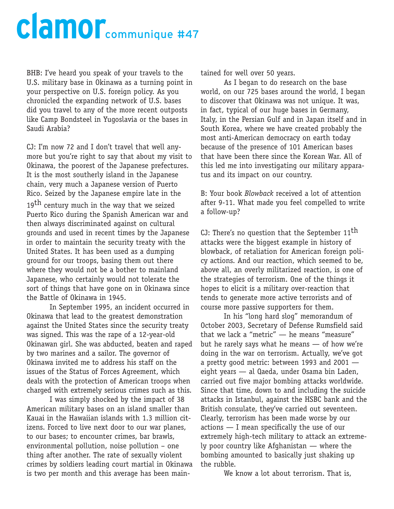BHB: I've heard you speak of your travels to the U.S. military base in Okinawa as a turning point in your perspective on U.S. foreign policy. As you chronicled the expanding network of U.S. bases did you travel to any of the more recent outposts like Camp Bondsteel in Yugoslavia or the bases in Saudi Arabia?

CJ: I'm now 72 and I don't travel that well anymore but you're right to say that about my visit to Okinawa, the poorest of the Japanese prefectures. It is the most southerly island in the Japanese chain, very much a Japanese version of Puerto Rico. Seized by the Japanese empire late in the

19<sup>th</sup> century much in the way that we seized Puerto Rico during the Spanish American war and then always discriminated against on cultural grounds and used in recent times by the Japanese in order to maintain the security treaty with the United States. It has been used as a dumping ground for our troops, basing them out there where they would not be a bother to mainland Japanese, who certainly would not tolerate the sort of things that have gone on in Okinawa since the Battle of Okinawa in 1945.

In September 1995, an incident occurred in Okinawa that lead to the greatest demonstration against the United States since the security treaty was signed. This was the rape of a 12-year-old Okinawan girl. She was abducted, beaten and raped by two marines and a sailor. The governor of Okinawa invited me to address his staff on the issues of the Status of Forces Agreement, which deals with the protection of American troops when charged with extremely serious crimes such as this.

I was simply shocked by the impact of 38 American military bases on an island smaller than Kauai in the Hawaiian islands with 1.3 million citizens. Forced to live next door to our war planes, to our bases; to encounter crimes, bar brawls, environmental pollution, noise pollution – one thing after another. The rate of sexually violent crimes by soldiers leading court martial in Okinawa is two per month and this average has been maintained for well over 50 years.

As I began to do research on the base world, on our 725 bases around the world, I began to discover that Okinawa was not unique. It was, in fact, typical of our huge bases in Germany, Italy, in the Persian Gulf and in Japan itself and in South Korea, where we have created probably the most anti-American democracy on earth today because of the presence of 101 American bases that have been there since the Korean War. All of this led me into investigating our military apparatus and its impact on our country.

B: Your book *Blowback* received a lot of attention after 9-11. What made you feel compelled to write a follow-up?

CJ: There's no question that the September  $11<sup>th</sup>$ attacks were the biggest example in history of blowback, of retaliation for American foreign policy actions. And our reaction, which seemed to be, above all, an overly militarized reaction, is one of the strategies of terrorism. One of the things it hopes to elicit is a military over-reaction that tends to generate more active terrorists and of course more passive supporters for them.

In his "long hard slog" memorandum of October 2003, Secretary of Defense Rumsfield said that we lack a "metric" — he means "measure" but he rarely says what he means — of how we're doing in the war on terrorism. Actually, we've got a pretty good metric: between 1993 and 2001 eight years — al Qaeda, under Osama bin Laden, carried out five major bombing attacks worldwide. Since that time, down to and including the suicide attacks in Istanbul, against the HSBC bank and the British consulate, they've carried out seventeen. Clearly, terrorism has been made worse by our actions — I mean specifically the use of our extremely high-tech military to attack an extremely poor country like Afghanistan — where the bombing amounted to basically just shaking up the rubble.

We know a lot about terrorism. That is,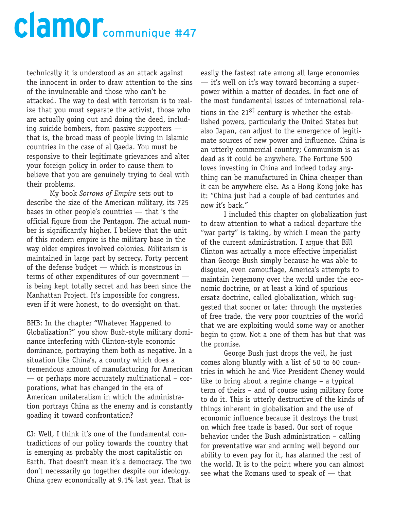technically it is understood as an attack against the innocent in order to draw attention to the sins of the invulnerable and those who can't be attacked. The way to deal with terrorism is to realize that you must separate the activist, those who are actually going out and doing the deed, including suicide bombers, from passive supporters that is, the broad mass of people living in Islamic countries in the case of al Qaeda. You must be responsive to their legitimate grievances and alter your foreign policy in order to cause them to believe that you are genuinely trying to deal with their problems.

My book *Sorrows of Empire* sets out to describe the size of the American military, its 725 bases in other people's countries — that 's the official figure from the Pentagon. The actual number is significantly higher. I believe that the unit of this modern empire is the military base in the way older empires involved colonies. Militarism is maintained in large part by secrecy. Forty percent of the defense budget — which is monstrous in terms of other expenditures of our government is being kept totally secret and has been since the Manhattan Project. It's impossible for congress, even if it were honest, to do oversight on that.

BHB: In the chapter "Whatever Happened to Globalization?" you show Bush-style military dominance interfering with Clinton-style economic dominance, portraying them both as negative. In a situation like China's, a country which does a tremendous amount of manufacturing for American — or perhaps more accurately multinational – corporations, what has changed in the era of American unilateralism in which the administration portrays China as the enemy and is constantly goading it toward confrontation?

CJ: Well, I think it's one of the fundamental contradictions of our policy towards the country that is emerging as probably the most capitalistic on Earth. That doesn't mean it's a democracy. The two don't necessarily go together despite our ideology. China grew economically at 9.1% last year. That is

easily the fastest rate among all large economies — it's well on it's way toward becoming a superpower within a matter of decades. In fact one of the most fundamental issues of international rela-

tions in the 21<sup>st</sup> century is whether the established powers, particularly the United States but also Japan, can adjust to the emergence of legitimate sources of new power and influence. China is an utterly commercial country; Communism is as dead as it could be anywhere. The Fortune 500 loves investing in China and indeed today anything can be manufactured in China cheaper than it can be anywhere else. As a Hong Kong joke has it: "China just had a couple of bad centuries and now it's back."

I included this chapter on globalization just to draw attention to what a radical departure the "war party" is taking, by which I mean the party of the current administration. I argue that Bill Clinton was actually a more effective imperialist than George Bush simply because he was able to disguise, even camouflage, America's attempts to maintain hegemony over the world under the economic doctrine, or at least a kind of spurious ersatz doctrine, called globalization, which suggested that sooner or later through the mysteries of free trade, the very poor countries of the world that we are exploiting would some way or another begin to grow. Not a one of them has but that was the promise.

George Bush just drops the veil, he just comes along bluntly with a list of 50 to 60 countries in which he and Vice President Cheney would like to bring about a regime change – a typical term of theirs – and of course using military force to do it. This is utterly destructive of the kinds of things inherent in globalization and the use of economic influence because it destroys the trust on which free trade is based. Our sort of rogue behavior under the Bush administration – calling for preventative war and arming well beyond our ability to even pay for it, has alarmed the rest of the world. It is to the point where you can almost see what the Romans used to speak of — that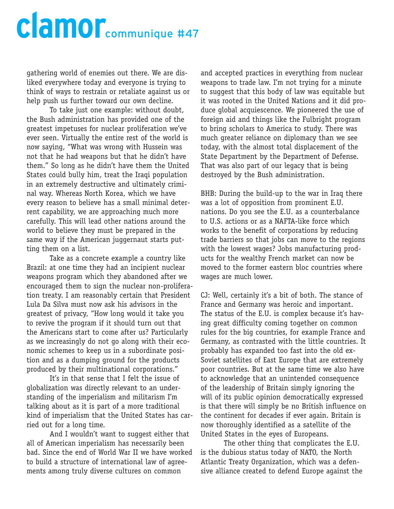gathering world of enemies out there. We are disliked everywhere today and everyone is trying to think of ways to restrain or retaliate against us or help push us further toward our own decline.

To take just one example: without doubt, the Bush administration has provided one of the greatest impetuses for nuclear proliferation we've ever seen. Virtually the entire rest of the world is now saying, "What was wrong with Hussein was not that he had weapons but that he didn't have them." So long as he didn't have them the United States could bully him, treat the Iraqi population in an extremely destructive and ultimately criminal way. Whereas North Korea, which we have every reason to believe has a small minimal deterrent capability, we are approaching much more carefully. This will lead other nations around the world to believe they must be prepared in the same way if the American juggernaut starts putting them on a list.

Take as a concrete example a country like Brazil: at one time they had an incipient nuclear weapons program which they abandoned after we encouraged them to sign the nuclear non-proliferation treaty. I am reasonably certain that President Lula Da Silva must now ask his advisors in the greatest of privacy, "How long would it take you to revive the program if it should turn out that the Americans start to come after us? Particularly as we increasingly do not go along with their economic schemes to keep us in a subordinate position and as a dumping ground for the products produced by their multinational corporations."

It's in that sense that I felt the issue of globalization was directly relevant to an understanding of the imperialism and militarism I'm talking about as it is part of a more traditional kind of imperialism that the United States has carried out for a long time.

And I wouldn't want to suggest either that all of American imperialism has necessarily been bad. Since the end of World War II we have worked to build a structure of international law of agreements among truly diverse cultures on common

and accepted practices in everything from nuclear weapons to trade law. I'm not trying for a minute to suggest that this body of law was equitable but it was rooted in the United Nations and it did produce global acquiescence. We pioneered the use of foreign aid and things like the Fulbright program to bring scholars to America to study. There was much greater reliance on diplomacy than we see today, with the almost total displacement of the State Department by the Department of Defense. That was also part of our legacy that is being destroyed by the Bush administration.

BHB: During the build-up to the war in Iraq there was a lot of opposition from prominent E.U. nations. Do you see the E.U. as a counterbalance to U.S. actions or as a NAFTA-like force which works to the benefit of corporations by reducing trade barriers so that jobs can move to the regions with the lowest wages? Jobs manufacturing products for the wealthy French market can now be moved to the former eastern bloc countries where wages are much lower.

CJ: Well, certainly it's a bit of both. The stance of France and Germany was heroic and important. The status of the E.U. is complex because it's having great difficulty coming together on common rules for the big countries, for example France and Germany, as contrasted with the little countries. It probably has expanded too fast into the old ex-Soviet satellites of East Europe that are extremely poor countries. But at the same time we also have to acknowledge that an unintended consequence of the leadership of Britain simply ignoring the will of its public opinion democratically expressed is that there will simply be no British influence on the continent for decades if ever again. Britain is now thoroughly identified as a satellite of the United States in the eyes of Europeans.

The other thing that complicates the E.U. is the dubious status today of NATO, the North Atlantic Treaty Organization, which was a defensive alliance created to defend Europe against the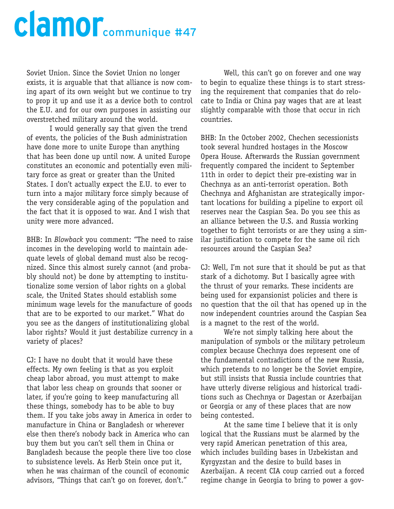Soviet Union. Since the Soviet Union no longer exists, it is arguable that that alliance is now coming apart of its own weight but we continue to try to prop it up and use it as a device both to control the E.U. and for our own purposes in assisting our overstretched military around the world.

I would generally say that given the trend of events, the policies of the Bush administration have done more to unite Europe than anything that has been done up until now. A united Europe constitutes an economic and potentially even military force as great or greater than the United States. I don't actually expect the E.U. to ever to turn into a major military force simply because of the very considerable aging of the population and the fact that it is opposed to war. And I wish that unity were more advanced.

BHB: In *Blowback* you comment: "The need to raise incomes in the developing world to maintain adequate levels of global demand must also be recognized. Since this almost surely cannot (and probably should not) be done by attempting to institutionalize some version of labor rights on a global scale, the United States should establish some minimum wage levels for the manufacture of goods that are to be exported to our market." What do you see as the dangers of institutionalizing global labor rights? Would it just destabilize currency in a variety of places?

CJ: I have no doubt that it would have these effects. My own feeling is that as you exploit cheap labor abroad, you must attempt to make that labor less cheap on grounds that sooner or later, if you're going to keep manufacturing all these things, somebody has to be able to buy them. If you take jobs away in America in order to manufacture in China or Bangladesh or wherever else then there's nobody back in America who can buy them but you can't sell them in China or Bangladesh because the people there live too close to subsistence levels. As Herb Stein once put it, when he was chairman of the council of economic advisors, "Things that can't go on forever, don't."

Well, this can't go on forever and one way to begin to equalize these things is to start stressing the requirement that companies that do relocate to India or China pay wages that are at least slightly comparable with those that occur in rich countries.

BHB: In the October 2002, Chechen secessionists took several hundred hostages in the Moscow Opera House. Afterwards the Russian government frequently compared the incident to September 11th in order to depict their pre-existing war in Chechnya as an anti-terrorist operation. Both Chechnya and Afghanistan are strategically important locations for building a pipeline to export oil reserves near the Caspian Sea. Do you see this as an alliance between the U.S. and Russia working together to fight terrorists or are they using a similar justification to compete for the same oil rich resources around the Caspian Sea?

CJ: Well, I'm not sure that it should be put as that stark of a dichotomy. But I basically agree with the thrust of your remarks. These incidents are being used for expansionist policies and there is no question that the oil that has opened up in the now independent countries around the Caspian Sea is a magnet to the rest of the world.

We're not simply talking here about the manipulation of symbols or the military petroleum complex because Chechnya does represent one of the fundamental contradictions of the new Russia, which pretends to no longer be the Soviet empire, but still insists that Russia include countries that have utterly diverse religious and historical traditions such as Chechnya or Dagestan or Azerbaijan or Georgia or any of these places that are now being contested.

At the same time I believe that it is only logical that the Russians must be alarmed by the very rapid American penetration of this area, which includes building bases in Uzbekistan and Kyrgyzstan and the desire to build bases in Azerbaijan. A recent CIA coup carried out a forced regime change in Georgia to bring to power a gov-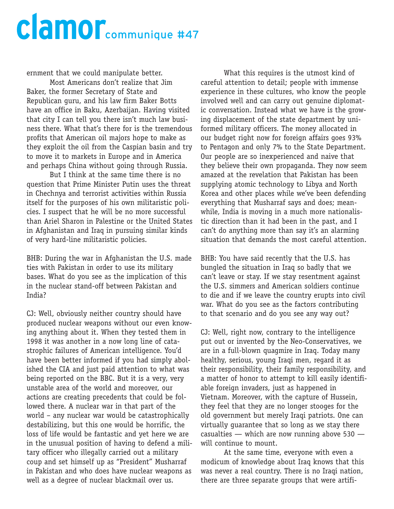ernment that we could manipulate better.

Most Americans don't realize that Jim Baker, the former Secretary of State and Republican guru, and his law firm Baker Botts have an office in Baku, Azerbaijan. Having visited that city I can tell you there isn't much law business there. What that's there for is the tremendous profits that American oil majors hope to make as they exploit the oil from the Caspian basin and try to move it to markets in Europe and in America and perhaps China without going through Russia.

But I think at the same time there is no question that Prime Minister Putin uses the threat in Chechnya and terrorist activities within Russia itself for the purposes of his own militaristic policies. I suspect that he will be no more successful than Ariel Sharon in Palestine or the United States in Afghanistan and Iraq in pursuing similar kinds of very hard-line militaristic policies.

BHB: During the war in Afghanistan the U.S. made ties with Pakistan in order to use its military bases. What do you see as the implication of this in the nuclear stand-off between Pakistan and India?

CJ: Well, obviously neither country should have produced nuclear weapons without our even knowing anything about it. When they tested them in 1998 it was another in a now long line of catastrophic failures of American intelligence. You'd have been better informed if you had simply abolished the CIA and just paid attention to what was being reported on the BBC. But it is a very, very unstable area of the world and moreover, our actions are creating precedents that could be followed there. A nuclear war in that part of the world – any nuclear war would be catastrophically destabilizing, but this one would be horrific, the loss of life would be fantastic and yet here we are in the unusual position of having to defend a military officer who illegally carried out a military coup and set himself up as "President" Musharraf in Pakistan and who does have nuclear weapons as well as a degree of nuclear blackmail over us.

What this requires is the utmost kind of careful attention to detail; people with immense experience in these cultures, who know the people involved well and can carry out genuine diplomatic conversation. Instead what we have is the growing displacement of the state department by uniformed military officers. The money allocated in our budget right now for foreign affairs goes 93% to Pentagon and only 7% to the State Department. Our people are so inexperienced and naive that they believe their own propaganda. They now seem amazed at the revelation that Pakistan has been supplying atomic technology to Libya and North Korea and other places while we've been defending everything that Musharraf says and does; meanwhile, India is moving in a much more nationalistic direction than it had been in the past, and I can't do anything more than say it's an alarming situation that demands the most careful attention.

BHB: You have said recently that the U.S. has bungled the situation in Iraq so badly that we can't leave or stay. If we stay resentment against the U.S. simmers and American soldiers continue to die and if we leave the country erupts into civil war. What do you see as the factors contributing to that scenario and do you see any way out?

CJ: Well, right now, contrary to the intelligence put out or invented by the Neo-Conservatives, we are in a full-blown quagmire in Iraq. Today many healthy, serious, young Iraqi men, regard it as their responsibility, their family responsibility, and a matter of honor to attempt to kill easily identifiable foreign invaders, just as happened in Vietnam. Moreover, with the capture of Hussein, they feel that they are no longer stooges for the old government but merely Iraqi patriots. One can virtually guarantee that so long as we stay there casualties  $-$  which are now running above 530  $$ will continue to mount.

At the same time, everyone with even a modicum of knowledge about Iraq knows that this was never a real country. There is no Iraqi nation, there are three separate groups that were artifi-